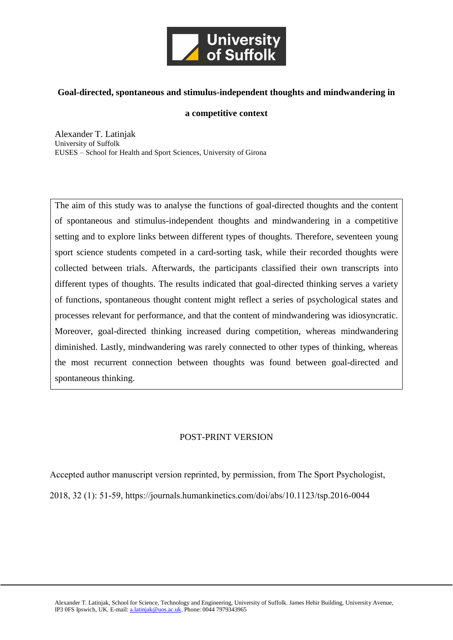

# **Goal-directed, spontaneous and stimulus-independent thoughts and mindwandering in**

## **a competitive context**

Alexander T. Latinjak University of Suffolk EUSES – School for Health and Sport Sciences, University of Girona

The aim of this study was to analyse the functions of goal-directed thoughts and the content of spontaneous and stimulus-independent thoughts and mindwandering in a competitive setting and to explore links between different types of thoughts. Therefore, seventeen young sport science students competed in a card-sorting task, while their recorded thoughts were collected between trials. Afterwards, the participants classified their own transcripts into different types of thoughts. The results indicated that goal-directed thinking serves a variety of functions, spontaneous thought content might reflect a series of psychological states and processes relevant for performance, and that the content of mindwandering was idiosyncratic. Moreover, goal-directed thinking increased during competition, whereas mindwandering diminished. Lastly, mindwandering was rarely connected to other types of thinking, whereas the most recurrent connection between thoughts was found between goal-directed and spontaneous thinking.

# POST-PRINT VERSION

Accepte[d author manuscript version reprinted, b](https://doi.org/10.1123/tsp.2016-0044)y permission, from The Sport Psychologist, 2018, 32 (1): 51-59, https://journals.humankinetics.com/doi/abs/10.1123/tsp.2016-0044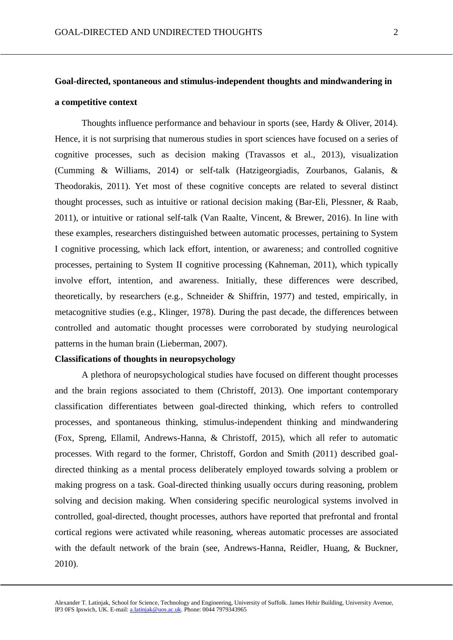# **Goal-directed, spontaneous and stimulus-independent thoughts and mindwandering in a competitive context**

Thoughts influence performance and behaviour in sports (see, Hardy & Oliver, 2014). Hence, it is not surprising that numerous studies in sport sciences have focused on a series of cognitive processes, such as decision making (Travassos et al., 2013), visualization (Cumming & Williams, 2014) or self-talk (Hatzigeorgiadis, Zourbanos, Galanis, & Theodorakis, 2011). Yet most of these cognitive concepts are related to several distinct thought processes, such as intuitive or rational decision making (Bar-Eli, Plessner, & Raab, 2011), or intuitive or rational self-talk (Van Raalte, Vincent, & Brewer, 2016). In line with these examples, researchers distinguished between automatic processes, pertaining to System I cognitive processing, which lack effort, intention, or awareness; and controlled cognitive processes, pertaining to System II cognitive processing (Kahneman, 2011), which typically involve effort, intention, and awareness. Initially, these differences were described, theoretically, by researchers (e.g., Schneider & Shiffrin, 1977) and tested, empirically, in metacognitive studies (e.g., Klinger, 1978). During the past decade, the differences between controlled and automatic thought processes were corroborated by studying neurological patterns in the human brain (Lieberman, 2007).

# **Classifications of thoughts in neuropsychology**

A plethora of neuropsychological studies have focused on different thought processes and the brain regions associated to them (Christoff, 2013). One important contemporary classification differentiates between goal-directed thinking, which refers to controlled processes, and spontaneous thinking, stimulus-independent thinking and mindwandering (Fox, Spreng, Ellamil, Andrews-Hanna, & Christoff, 2015), which all refer to automatic processes. With regard to the former, Christoff, Gordon and Smith (2011) described goaldirected thinking as a mental process deliberately employed towards solving a problem or making progress on a task. Goal-directed thinking usually occurs during reasoning, problem solving and decision making. When considering specific neurological systems involved in controlled, goal-directed, thought processes, authors have reported that prefrontal and frontal cortical regions were activated while reasoning, whereas automatic processes are associated with the default network of the brain (see, Andrews-Hanna, Reidler, Huang, & Buckner, 2010).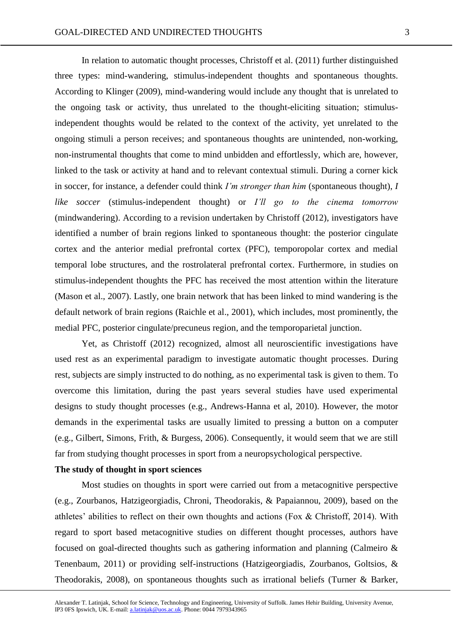In relation to automatic thought processes, Christoff et al. (2011) further distinguished three types: mind-wandering, stimulus-independent thoughts and spontaneous thoughts. According to Klinger (2009), mind-wandering would include any thought that is unrelated to the ongoing task or activity, thus unrelated to the thought-eliciting situation; stimulusindependent thoughts would be related to the context of the activity, yet unrelated to the ongoing stimuli a person receives; and spontaneous thoughts are unintended, non-working, non-instrumental thoughts that come to mind unbidden and effortlessly, which are, however, linked to the task or activity at hand and to relevant contextual stimuli. During a corner kick in soccer, for instance, a defender could think *I'm stronger than him* (spontaneous thought), *I like soccer* (stimulus-independent thought) or *I'll go to the cinema tomorrow*  (mindwandering). According to a revision undertaken by Christoff (2012), investigators have identified a number of brain regions linked to spontaneous thought: the posterior cingulate cortex and the anterior medial prefrontal cortex (PFC), temporopolar cortex and medial temporal lobe structures, and the rostrolateral prefrontal cortex. Furthermore, in studies on stimulus-independent thoughts the PFC has received the most attention within the literature (Mason et al., 2007). Lastly, one brain network that has been linked to mind wandering is the default network of brain regions (Raichle et al., 2001), which includes, most prominently, the medial PFC, posterior cingulate/precuneus region, and the temporoparietal junction.

Yet, as Christoff (2012) recognized, almost all neuroscientific investigations have used rest as an experimental paradigm to investigate automatic thought processes. During rest, subjects are simply instructed to do nothing, as no experimental task is given to them. To overcome this limitation, during the past years several studies have used experimental designs to study thought processes (e.g., Andrews-Hanna et al, 2010). However, the motor demands in the experimental tasks are usually limited to pressing a button on a computer (e.g., Gilbert, Simons, Frith, & Burgess, 2006). Consequently, it would seem that we are still far from studying thought processes in sport from a neuropsychological perspective.

## **The study of thought in sport sciences**

Most studies on thoughts in sport were carried out from a metacognitive perspective (e.g., Zourbanos, Hatzigeorgiadis, Chroni, Theodorakis, & Papaiannou, 2009), based on the athletes' abilities to reflect on their own thoughts and actions (Fox & Christoff, 2014). With regard to sport based metacognitive studies on different thought processes, authors have focused on goal-directed thoughts such as gathering information and planning (Calmeiro & Tenenbaum, 2011) or providing self-instructions (Hatzigeorgiadis, Zourbanos, Goltsios, & Theodorakis, 2008), on spontaneous thoughts such as irrational beliefs (Turner & Barker,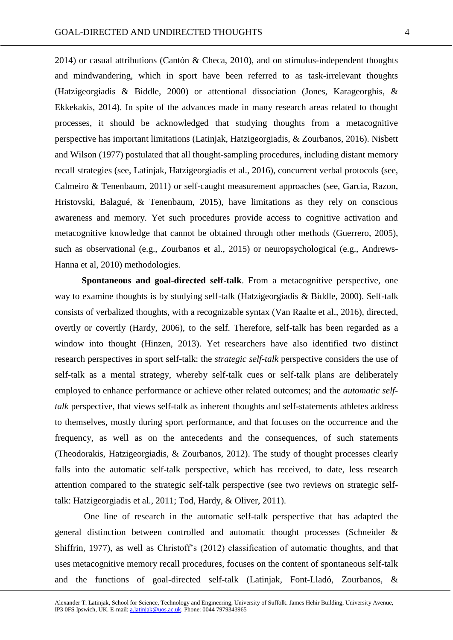2014) or casual attributions (Cantón & Checa, 2010), and on stimulus-independent thoughts and mindwandering, which in sport have been referred to as task-irrelevant thoughts (Hatzigeorgiadis & Biddle, 2000) or attentional dissociation (Jones, Karageorghis, & Ekkekakis, 2014). In spite of the advances made in many research areas related to thought processes, it should be acknowledged that studying thoughts from a metacognitive perspective has important limitations (Latinjak, Hatzigeorgiadis, & Zourbanos, 2016). Nisbett and Wilson (1977) postulated that all thought-sampling procedures, including distant memory recall strategies (see, Latinjak, Hatzigeorgiadis et al., 2016), concurrent verbal protocols (see, Calmeiro & Tenenbaum, 2011) or self-caught measurement approaches (see, Garcia, Razon, Hristovski, Balagué, & Tenenbaum, 2015), have limitations as they rely on conscious awareness and memory. Yet such procedures provide access to cognitive activation and metacognitive knowledge that cannot be obtained through other methods (Guerrero, 2005), such as observational (e.g., Zourbanos et al., 2015) or neuropsychological (e.g., Andrews-Hanna et al, 2010) methodologies.

**Spontaneous and goal-directed self-talk**. From a metacognitive perspective, one way to examine thoughts is by studying self-talk (Hatzigeorgiadis & Biddle, 2000). Self-talk consists of verbalized thoughts, with a recognizable syntax (Van Raalte et al., 2016), directed, overtly or covertly (Hardy, 2006), to the self. Therefore, self-talk has been regarded as a window into thought (Hinzen, 2013). Yet researchers have also identified two distinct research perspectives in sport self-talk: the *strategic self-talk* perspective considers the use of self-talk as a mental strategy, whereby self-talk cues or self-talk plans are deliberately employed to enhance performance or achieve other related outcomes; and the *automatic selftalk* perspective, that views self-talk as inherent thoughts and self-statements athletes address to themselves, mostly during sport performance, and that focuses on the occurrence and the frequency, as well as on the antecedents and the consequences, of such statements (Theodorakis, Hatzigeorgiadis, & Zourbanos, 2012). The study of thought processes clearly falls into the automatic self-talk perspective, which has received, to date, less research attention compared to the strategic self-talk perspective (see two reviews on strategic selftalk: Hatzigeorgiadis et al., 2011; Tod, Hardy, & Oliver, 2011).

One line of research in the automatic self-talk perspective that has adapted the general distinction between controlled and automatic thought processes (Schneider & Shiffrin, 1977), as well as Christoff's (2012) classification of automatic thoughts, and that uses metacognitive memory recall procedures, focuses on the content of spontaneous self-talk and the functions of goal-directed self-talk (Latinjak, Font-Lladó, Zourbanos, &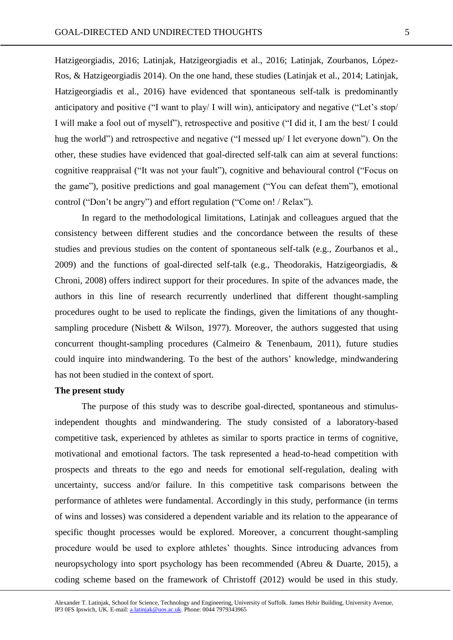Hatzigeorgiadis, 2016; Latinjak, Hatzigeorgiadis et al., 2016; Latinjak, Zourbanos, López-Ros, & Hatzigeorgiadis 2014). On the one hand, these studies (Latinjak et al., 2014; Latinjak, Hatzigeorgiadis et al., 2016) have evidenced that spontaneous self-talk is predominantly anticipatory and positive ("I want to play/ I will win), anticipatory and negative ("Let's stop/ I will make a fool out of myself"), retrospective and positive ("I did it, I am the best/ I could hug the world") and retrospective and negative ("I messed up/ I let everyone down"). On the other, these studies have evidenced that goal-directed self-talk can aim at several functions: cognitive reappraisal ("It was not your fault"), cognitive and behavioural control ("Focus on the game"), positive predictions and goal management ("You can defeat them"), emotional control ("Don't be angry") and effort regulation ("Come on! / Relax").

In regard to the methodological limitations, Latinjak and colleagues argued that the consistency between different studies and the concordance between the results of these studies and previous studies on the content of spontaneous self-talk (e.g., Zourbanos et al., 2009) and the functions of goal-directed self-talk (e.g., Theodorakis, Hatzigeorgiadis, & Chroni, 2008) offers indirect support for their procedures. In spite of the advances made, the authors in this line of research recurrently underlined that different thought-sampling procedures ought to be used to replicate the findings, given the limitations of any thoughtsampling procedure (Nisbett & Wilson, 1977). Moreover, the authors suggested that using concurrent thought-sampling procedures (Calmeiro & Tenenbaum, 2011), future studies could inquire into mindwandering. To the best of the authors' knowledge, mindwandering has not been studied in the context of sport.

## **The present study**

The purpose of this study was to describe goal-directed, spontaneous and stimulusindependent thoughts and mindwandering. The study consisted of a laboratory-based competitive task, experienced by athletes as similar to sports practice in terms of cognitive, motivational and emotional factors. The task represented a head-to-head competition with prospects and threats to the ego and needs for emotional self-regulation, dealing with uncertainty, success and/or failure. In this competitive task comparisons between the performance of athletes were fundamental. Accordingly in this study, performance (in terms of wins and losses) was considered a dependent variable and its relation to the appearance of specific thought processes would be explored. Moreover, a concurrent thought-sampling procedure would be used to explore athletes' thoughts. Since introducing advances from neuropsychology into sport psychology has been recommended (Abreu & Duarte, 2015), a coding scheme based on the framework of Christoff (2012) would be used in this study.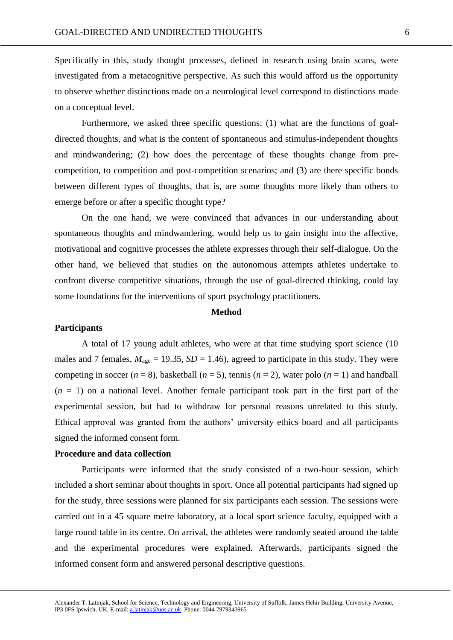Specifically in this, study thought processes, defined in research using brain scans, were investigated from a metacognitive perspective. As such this would afford us the opportunity to observe whether distinctions made on a neurological level correspond to distinctions made on a conceptual level.

Furthermore, we asked three specific questions: (1) what are the functions of goaldirected thoughts, and what is the content of spontaneous and stimulus-independent thoughts and mindwandering; (2) how does the percentage of these thoughts change from precompetition, to competition and post-competition scenarios; and (3) are there specific bonds between different types of thoughts, that is, are some thoughts more likely than others to emerge before or after a specific thought type?

On the one hand, we were convinced that advances in our understanding about spontaneous thoughts and mindwandering, would help us to gain insight into the affective, motivational and cognitive processes the athlete expresses through their self-dialogue. On the other hand, we believed that studies on the autonomous attempts athletes undertake to confront diverse competitive situations, through the use of goal-directed thinking, could lay some foundations for the interventions of sport psychology practitioners.

# **Method**

#### **Participants**

A total of 17 young adult athletes, who were at that time studying sport science (10 males and 7 females,  $M_{\text{age}} = 19.35$ ,  $SD = 1.46$ ), agreed to participate in this study. They were competing in soccer  $(n = 8)$ , basketball  $(n = 5)$ , tennis  $(n = 2)$ , water polo  $(n = 1)$  and handball  $(n = 1)$  on a national level. Another female participant took part in the first part of the experimental session, but had to withdraw for personal reasons unrelated to this study. Ethical approval was granted from the authors' university ethics board and all participants signed the informed consent form.

## **Procedure and data collection**

Participants were informed that the study consisted of a two-hour session, which included a short seminar about thoughts in sport. Once all potential participants had signed up for the study, three sessions were planned for six participants each session. The sessions were carried out in a 45 square metre laboratory, at a local sport science faculty, equipped with a large round table in its centre. On arrival, the athletes were randomly seated around the table and the experimental procedures were explained. Afterwards, participants signed the informed consent form and answered personal descriptive questions.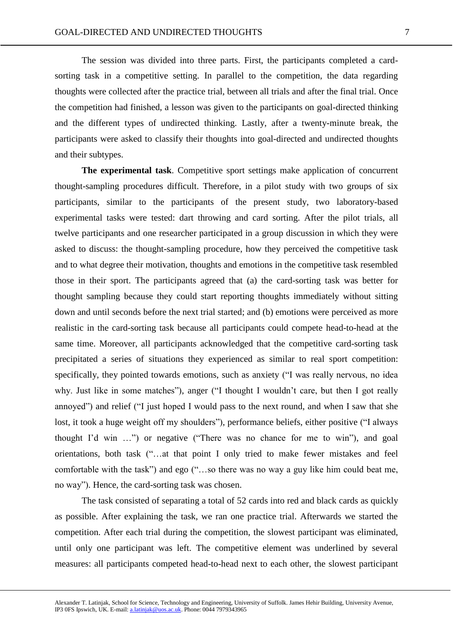The session was divided into three parts. First, the participants completed a cardsorting task in a competitive setting. In parallel to the competition, the data regarding thoughts were collected after the practice trial, between all trials and after the final trial. Once the competition had finished, a lesson was given to the participants on goal-directed thinking and the different types of undirected thinking. Lastly, after a twenty-minute break, the participants were asked to classify their thoughts into goal-directed and undirected thoughts and their subtypes.

**The experimental task**. Competitive sport settings make application of concurrent thought-sampling procedures difficult. Therefore, in a pilot study with two groups of six participants, similar to the participants of the present study, two laboratory-based experimental tasks were tested: dart throwing and card sorting. After the pilot trials, all twelve participants and one researcher participated in a group discussion in which they were asked to discuss: the thought-sampling procedure, how they perceived the competitive task and to what degree their motivation, thoughts and emotions in the competitive task resembled those in their sport. The participants agreed that (a) the card-sorting task was better for thought sampling because they could start reporting thoughts immediately without sitting down and until seconds before the next trial started; and (b) emotions were perceived as more realistic in the card-sorting task because all participants could compete head-to-head at the same time. Moreover, all participants acknowledged that the competitive card-sorting task precipitated a series of situations they experienced as similar to real sport competition: specifically, they pointed towards emotions, such as anxiety ("I was really nervous, no idea why. Just like in some matches"), anger ("I thought I wouldn't care, but then I got really annoyed") and relief ("I just hoped I would pass to the next round, and when I saw that she lost, it took a huge weight off my shoulders"), performance beliefs, either positive ("I always thought I'd win …") or negative ("There was no chance for me to win"), and goal orientations, both task ("…at that point I only tried to make fewer mistakes and feel comfortable with the task") and ego ("…so there was no way a guy like him could beat me, no way"). Hence, the card-sorting task was chosen.

The task consisted of separating a total of 52 cards into red and black cards as quickly as possible. After explaining the task, we ran one practice trial. Afterwards we started the competition. After each trial during the competition, the slowest participant was eliminated, until only one participant was left. The competitive element was underlined by several measures: all participants competed head-to-head next to each other, the slowest participant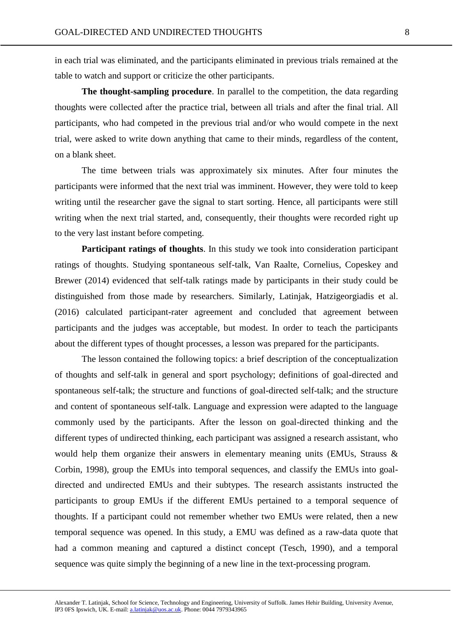in each trial was eliminated, and the participants eliminated in previous trials remained at the table to watch and support or criticize the other participants.

**The thought-sampling procedure**. In parallel to the competition, the data regarding thoughts were collected after the practice trial, between all trials and after the final trial. All participants, who had competed in the previous trial and/or who would compete in the next trial, were asked to write down anything that came to their minds, regardless of the content, on a blank sheet.

The time between trials was approximately six minutes. After four minutes the participants were informed that the next trial was imminent. However, they were told to keep writing until the researcher gave the signal to start sorting. Hence, all participants were still writing when the next trial started, and, consequently, their thoughts were recorded right up to the very last instant before competing.

**Participant ratings of thoughts**. In this study we took into consideration participant ratings of thoughts. Studying spontaneous self-talk, Van Raalte, Cornelius, Copeskey and Brewer (2014) evidenced that self-talk ratings made by participants in their study could be distinguished from those made by researchers. Similarly, Latinjak, Hatzigeorgiadis et al. (2016) calculated participant-rater agreement and concluded that agreement between participants and the judges was acceptable, but modest. In order to teach the participants about the different types of thought processes, a lesson was prepared for the participants.

The lesson contained the following topics: a brief description of the conceptualization of thoughts and self-talk in general and sport psychology; definitions of goal-directed and spontaneous self-talk; the structure and functions of goal-directed self-talk; and the structure and content of spontaneous self-talk. Language and expression were adapted to the language commonly used by the participants. After the lesson on goal-directed thinking and the different types of undirected thinking, each participant was assigned a research assistant, who would help them organize their answers in elementary meaning units (EMUs, Strauss  $\&$ Corbin, 1998), group the EMUs into temporal sequences, and classify the EMUs into goaldirected and undirected EMUs and their subtypes. The research assistants instructed the participants to group EMUs if the different EMUs pertained to a temporal sequence of thoughts. If a participant could not remember whether two EMUs were related, then a new temporal sequence was opened. In this study, a EMU was defined as a raw-data quote that had a common meaning and captured a distinct concept (Tesch, 1990), and a temporal sequence was quite simply the beginning of a new line in the text-processing program.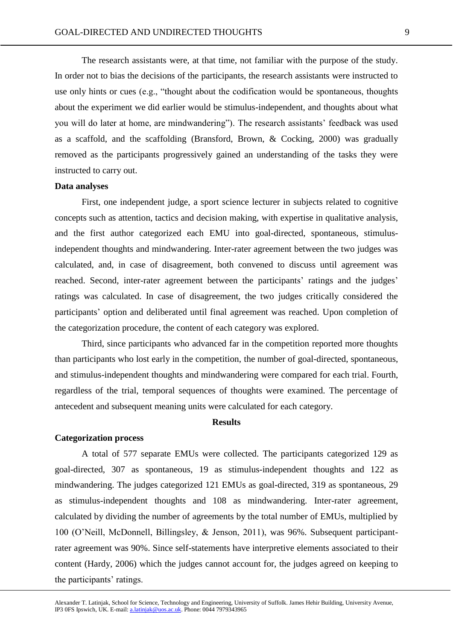The research assistants were, at that time, not familiar with the purpose of the study. In order not to bias the decisions of the participants, the research assistants were instructed to use only hints or cues (e.g., "thought about the codification would be spontaneous, thoughts about the experiment we did earlier would be stimulus-independent, and thoughts about what you will do later at home, are mindwandering"). The research assistants' feedback was used as a scaffold, and the scaffolding (Bransford, Brown, & Cocking, 2000) was gradually removed as the participants progressively gained an understanding of the tasks they were instructed to carry out.

## **Data analyses**

First, one independent judge, a sport science lecturer in subjects related to cognitive concepts such as attention, tactics and decision making, with expertise in qualitative analysis, and the first author categorized each EMU into goal-directed, spontaneous, stimulusindependent thoughts and mindwandering. Inter-rater agreement between the two judges was calculated, and, in case of disagreement, both convened to discuss until agreement was reached. Second, inter-rater agreement between the participants' ratings and the judges' ratings was calculated. In case of disagreement, the two judges critically considered the participants' option and deliberated until final agreement was reached. Upon completion of the categorization procedure, the content of each category was explored.

Third, since participants who advanced far in the competition reported more thoughts than participants who lost early in the competition, the number of goal-directed, spontaneous, and stimulus-independent thoughts and mindwandering were compared for each trial. Fourth, regardless of the trial, temporal sequences of thoughts were examined. The percentage of antecedent and subsequent meaning units were calculated for each category.

## **Results**

#### **Categorization process**

A total of 577 separate EMUs were collected. The participants categorized 129 as goal-directed, 307 as spontaneous, 19 as stimulus-independent thoughts and 122 as mindwandering. The judges categorized 121 EMUs as goal-directed, 319 as spontaneous, 29 as stimulus-independent thoughts and 108 as mindwandering. Inter-rater agreement, calculated by dividing the number of agreements by the total number of EMUs, multiplied by 100 (O'Neill, McDonnell, Billingsley, & Jenson, 2011), was 96%. Subsequent participantrater agreement was 90%. Since self-statements have interpretive elements associated to their content (Hardy, 2006) which the judges cannot account for, the judges agreed on keeping to the participants' ratings.

Alexander T. Latinjak, School for Science, Technology and Engineering, University of Suffolk. James Hehir Building, University Avenue, IP3 0FS Ipswich, UK. E-mail: [a.latinjak@uos.ac.uk.](mailto:a.latinjak@uos.ac.uk) Phone: 0044 7979343965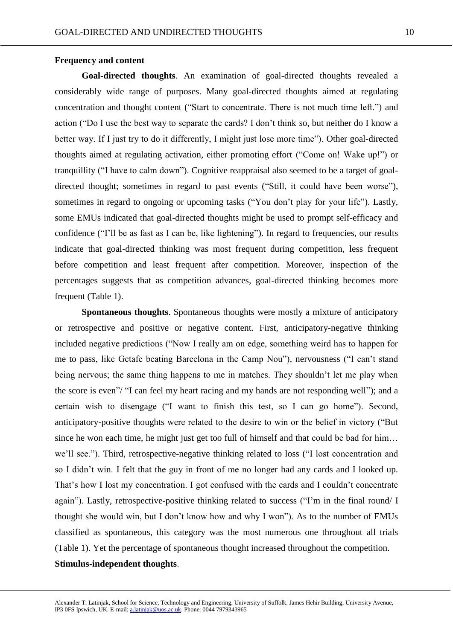### **Frequency and content**

**Goal-directed thoughts**. An examination of goal-directed thoughts revealed a considerably wide range of purposes. Many goal-directed thoughts aimed at regulating concentration and thought content ("Start to concentrate. There is not much time left.") and action ("Do I use the best way to separate the cards? I don't think so, but neither do I know a better way. If I just try to do it differently, I might just lose more time"). Other goal-directed thoughts aimed at regulating activation, either promoting effort ("Come on! Wake up!") or tranquillity ("I have to calm down"). Cognitive reappraisal also seemed to be a target of goaldirected thought; sometimes in regard to past events ("Still, it could have been worse"), sometimes in regard to ongoing or upcoming tasks ("You don't play for your life"). Lastly, some EMUs indicated that goal-directed thoughts might be used to prompt self-efficacy and confidence ("I'll be as fast as I can be, like lightening"). In regard to frequencies, our results indicate that goal-directed thinking was most frequent during competition, less frequent before competition and least frequent after competition. Moreover, inspection of the percentages suggests that as competition advances, goal-directed thinking becomes more frequent (Table 1).

**Spontaneous thoughts**. Spontaneous thoughts were mostly a mixture of anticipatory or retrospective and positive or negative content. First, anticipatory-negative thinking included negative predictions ("Now I really am on edge, something weird has to happen for me to pass, like Getafe beating Barcelona in the Camp Nou"), nervousness ("I can't stand being nervous; the same thing happens to me in matches. They shouldn't let me play when the score is even"/ "I can feel my heart racing and my hands are not responding well"); and a certain wish to disengage ("I want to finish this test, so I can go home"). Second, anticipatory-positive thoughts were related to the desire to win or the belief in victory ("But since he won each time, he might just get too full of himself and that could be bad for him... we'll see."). Third, retrospective-negative thinking related to loss ("I lost concentration and so I didn't win. I felt that the guy in front of me no longer had any cards and I looked up. That's how I lost my concentration. I got confused with the cards and I couldn't concentrate again"). Lastly, retrospective-positive thinking related to success ("I'm in the final round/ I thought she would win, but I don't know how and why I won"). As to the number of EMUs classified as spontaneous, this category was the most numerous one throughout all trials (Table 1). Yet the percentage of spontaneous thought increased throughout the competition.

# **Stimulus-independent thoughts**.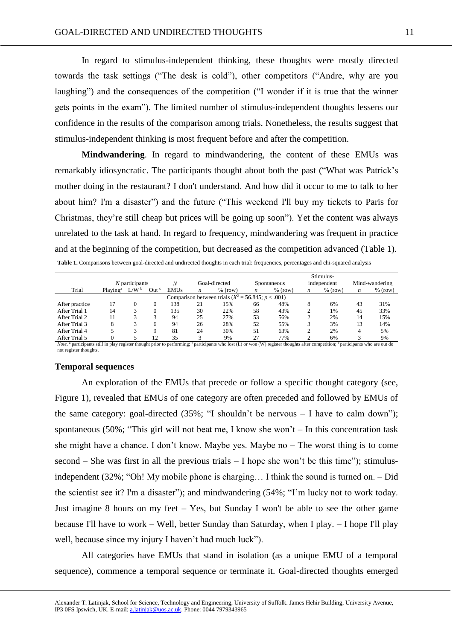In regard to stimulus-independent thinking, these thoughts were mostly directed towards the task settings ("The desk is cold"), other competitors ("Andre, why are you laughing") and the consequences of the competition ("I wonder if it is true that the winner gets points in the exam"). The limited number of stimulus-independent thoughts lessens our confidence in the results of the comparison among trials. Nonetheless, the results suggest that stimulus-independent thinking is most frequent before and after the competition.

**Mindwandering**. In regard to mindwandering, the content of these EMUs was remarkably idiosyncratic. The participants thought about both the past ("What was Patrick's mother doing in the restaurant? I don't understand. And how did it occur to me to talk to her about him? I'm a disaster") and the future ("This weekend I'll buy my tickets to Paris for Christmas, they're still cheap but prices will be going up soon"). Yet the content was always unrelated to the task at hand. In regard to frequency, mindwandering was frequent in practice and at the beginning of the competition, but decreased as the competition advanced (Table 1).

**Table 1.** Comparisons between goal-directed and undirected thoughts in each trial: frequencies, percentages and chi-squared analysis

|                                                                                                                                                                                                                               |                      |     |                  |             |               |         |             | Stimulus- |             |         |                |         |
|-------------------------------------------------------------------------------------------------------------------------------------------------------------------------------------------------------------------------------|----------------------|-----|------------------|-------------|---------------|---------|-------------|-----------|-------------|---------|----------------|---------|
|                                                                                                                                                                                                                               | $N$ participants     |     |                  | N           | Goal-directed |         | Spontaneous |           | independent |         | Mind-wandering |         |
| Trial                                                                                                                                                                                                                         | Plaving <sup>a</sup> | L/W | Out <sup>c</sup> | <b>EMUs</b> | n             | % (row) | n           | % (row)   | n           | % (row) | n              | % (row) |
| Comparison between trials ( $X^2 = 56.845$ ; $p < .001$ )                                                                                                                                                                     |                      |     |                  |             |               |         |             |           |             |         |                |         |
| After practice                                                                                                                                                                                                                | 17                   |     |                  | 138         | 21            | 15%     | 66          | 48%       | 8           | 6%      | 43             | 31%     |
| After Trial 1                                                                                                                                                                                                                 | 14                   |     |                  | 135         | 30            | 22%     | 58          | 43%       |             | 1%      | 45             | 33%     |
| After Trial 2                                                                                                                                                                                                                 | 11                   |     |                  | 94          | 25            | 27%     | 53          | 56%       |             | 2%      | 14             | 15%     |
| After Trial 3                                                                                                                                                                                                                 | 8                    |     |                  | 94          | 26            | 28%     | 52          | 55%       |             | 3%      | 13             | 14%     |
| After Trial 4                                                                                                                                                                                                                 |                      |     |                  | 81          | 24            | 30%     | 51          | 63%       |             | 2%      | 4              | 5%      |
| After Trial 5                                                                                                                                                                                                                 |                      |     |                  | 35          |               | 9%      | 27          | 77%       |             | 6%      |                | 9%      |
| and a substitution of the contract of the substitution of the company of the contract of the contract of the substitution of the substitution of the substitution of the substitution of the substitution of the substitution |                      |     |                  |             |               |         |             |           |             |         |                |         |

*Note*. <sup>a</sup> participants still in play register thought prior to performing; <sup>b</sup> participants who lost (L) or won (W) register thoughts after competition; <sup>c</sup> participants who are out do not register thoughts.

## **Temporal sequences**

An exploration of the EMUs that precede or follow a specific thought category (see, Figure 1), revealed that EMUs of one category are often preceded and followed by EMUs of the same category: goal-directed  $(35\%; "I shouldn't be nervous - I have to calm down")$ ; spontaneous (50%; "This girl will not beat me, I know she won't – In this concentration task she might have a chance. I don't know. Maybe yes. Maybe no – The worst thing is to come second – She was first in all the previous trials – I hope she won't be this time"); stimulusindependent (32%; "Oh! My mobile phone is charging… I think the sound is turned on. – Did the scientist see it? I'm a disaster"); and mindwandering (54%; "I'm lucky not to work today. Just imagine 8 hours on my feet – Yes, but Sunday I won't be able to see the other game because I'll have to work – Well, better Sunday than Saturday, when I play. – I hope I'll play well, because since my injury I haven't had much luck").

All categories have EMUs that stand in isolation (as a unique EMU of a temporal sequence), commence a temporal sequence or terminate it. Goal-directed thoughts emerged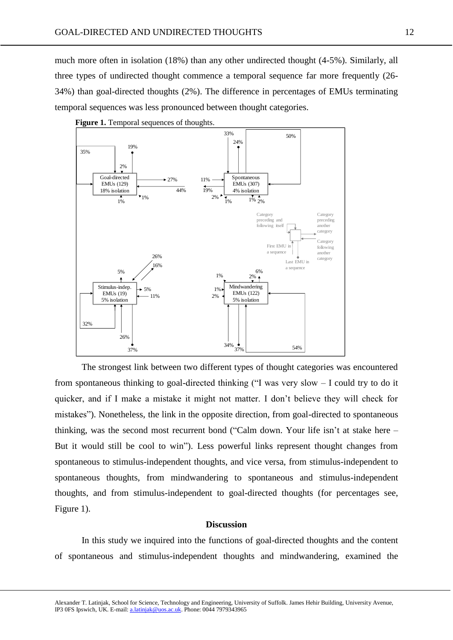much more often in isolation (18%) than any other undirected thought (4-5%). Similarly, all three types of undirected thought commence a temporal sequence far more frequently (26- 34%) than goal-directed thoughts (2%). The difference in percentages of EMUs terminating temporal sequences was less pronounced between thought categories.



Figure 1. Temporal sequences of thoughts.

The strongest link between two different types of thought categories was encountered from spontaneous thinking to goal-directed thinking ("I was very slow – I could try to do it quicker, and if I make a mistake it might not matter. I don't believe they will check for mistakes"). Nonetheless, the link in the opposite direction, from goal-directed to spontaneous thinking, was the second most recurrent bond ("Calm down. Your life isn't at stake here – But it would still be cool to win"). Less powerful links represent thought changes from spontaneous to stimulus-independent thoughts, and vice versa, from stimulus-independent to spontaneous thoughts, from mindwandering to spontaneous and stimulus-independent thoughts, and from stimulus-independent to goal-directed thoughts (for percentages see, Figure 1).

#### **Discussion**

In this study we inquired into the functions of goal-directed thoughts and the content of spontaneous and stimulus-independent thoughts and mindwandering, examined the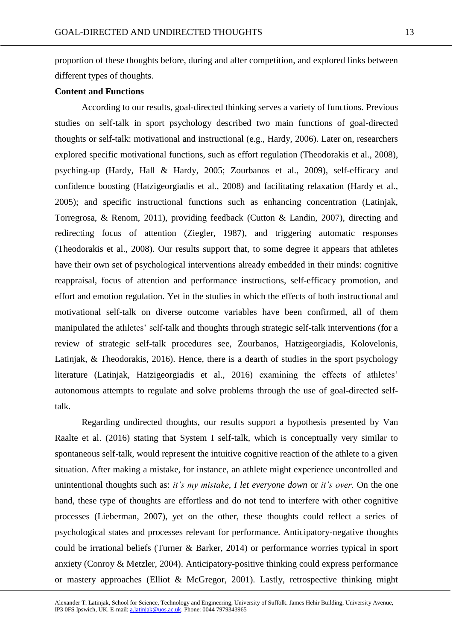proportion of these thoughts before, during and after competition, and explored links between different types of thoughts.

## **Content and Functions**

According to our results, goal-directed thinking serves a variety of functions. Previous studies on self-talk in sport psychology described two main functions of goal-directed thoughts or self-talk: motivational and instructional (e.g., Hardy, 2006). Later on, researchers explored specific motivational functions, such as effort regulation (Theodorakis et al., 2008), psyching-up (Hardy, Hall & Hardy, 2005; Zourbanos et al., 2009), self-efficacy and confidence boosting (Hatzigeorgiadis et al., 2008) and facilitating relaxation (Hardy et al., 2005); and specific instructional functions such as enhancing concentration (Latinjak, Torregrosa, & Renom, 2011), providing feedback (Cutton & Landin, 2007), directing and redirecting focus of attention (Ziegler, 1987), and triggering automatic responses (Theodorakis et al., 2008). Our results support that, to some degree it appears that athletes have their own set of psychological interventions already embedded in their minds: cognitive reappraisal, focus of attention and performance instructions, self-efficacy promotion, and effort and emotion regulation. Yet in the studies in which the effects of both instructional and motivational self-talk on diverse outcome variables have been confirmed, all of them manipulated the athletes' self-talk and thoughts through strategic self-talk interventions (for a review of strategic self-talk procedures see, Zourbanos, Hatzigeorgiadis, Kolovelonis, Latinjak, & Theodorakis, 2016). Hence, there is a dearth of studies in the sport psychology literature (Latinjak, Hatzigeorgiadis et al., 2016) examining the effects of athletes' autonomous attempts to regulate and solve problems through the use of goal-directed selftalk.

Regarding undirected thoughts, our results support a hypothesis presented by Van Raalte et al. (2016) stating that System I self-talk, which is conceptually very similar to spontaneous self-talk, would represent the intuitive cognitive reaction of the athlete to a given situation. After making a mistake, for instance, an athlete might experience uncontrolled and unintentional thoughts such as: *it's my mistake*, *I let everyone down* or *it's over.* On the one hand, these type of thoughts are effortless and do not tend to interfere with other cognitive processes (Lieberman, 2007), yet on the other, these thoughts could reflect a series of psychological states and processes relevant for performance. Anticipatory-negative thoughts could be irrational beliefs (Turner & Barker, 2014) or performance worries typical in sport anxiety (Conroy & Metzler, 2004). Anticipatory-positive thinking could express performance or mastery approaches (Elliot & McGregor, 2001). Lastly, retrospective thinking might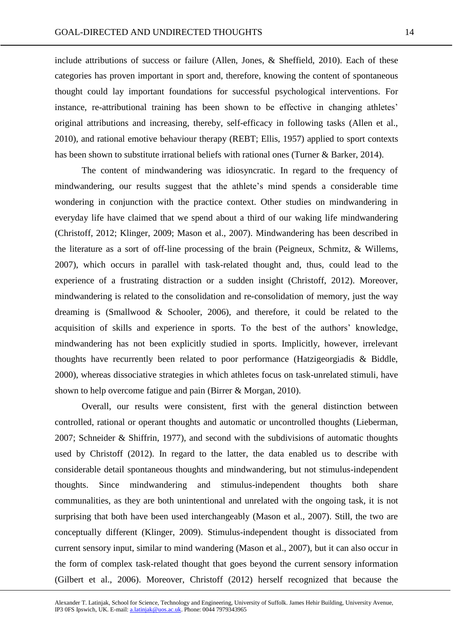include attributions of success or failure (Allen, Jones, & Sheffield, 2010). Each of these categories has proven important in sport and, therefore, knowing the content of spontaneous thought could lay important foundations for successful psychological interventions. For instance, re-attributional training has been shown to be effective in changing athletes' original attributions and increasing, thereby, self-efficacy in following tasks (Allen et al., 2010), and rational emotive behaviour therapy (REBT; Ellis, 1957) applied to sport contexts has been shown to substitute irrational beliefs with rational ones (Turner & Barker, 2014).

The content of mindwandering was idiosyncratic. In regard to the frequency of mindwandering, our results suggest that the athlete's mind spends a considerable time wondering in conjunction with the practice context. Other studies on mindwandering in everyday life have claimed that we spend about a third of our waking life mindwandering (Christoff, 2012; Klinger, 2009; Mason et al., 2007). Mindwandering has been described in the literature as a sort of off-line processing of the brain (Peigneux, Schmitz, & Willems, 2007), which occurs in parallel with task-related thought and, thus, could lead to the experience of a frustrating distraction or a sudden insight (Christoff, 2012). Moreover, mindwandering is related to the consolidation and re-consolidation of memory, just the way dreaming is (Smallwood & Schooler, 2006), and therefore, it could be related to the acquisition of skills and experience in sports. To the best of the authors' knowledge, mindwandering has not been explicitly studied in sports. Implicitly, however, irrelevant thoughts have recurrently been related to poor performance (Hatzigeorgiadis & Biddle, 2000), whereas dissociative strategies in which athletes focus on task-unrelated stimuli, have shown to help overcome fatigue and pain (Birrer & Morgan, 2010).

Overall, our results were consistent, first with the general distinction between controlled, rational or operant thoughts and automatic or uncontrolled thoughts (Lieberman, 2007; Schneider & Shiffrin, 1977), and second with the subdivisions of automatic thoughts used by Christoff (2012). In regard to the latter, the data enabled us to describe with considerable detail spontaneous thoughts and mindwandering, but not stimulus-independent thoughts. Since mindwandering and stimulus-independent thoughts both share communalities, as they are both unintentional and unrelated with the ongoing task, it is not surprising that both have been used interchangeably (Mason et al., 2007). Still, the two are conceptually different (Klinger, 2009). Stimulus-independent thought is dissociated from current sensory input, similar to mind wandering (Mason et al., 2007), but it can also occur in the form of complex task-related thought that goes beyond the current sensory information (Gilbert et al., 2006). Moreover, Christoff (2012) herself recognized that because the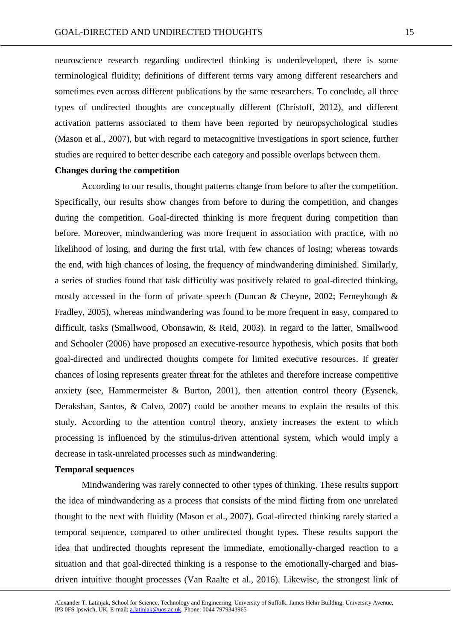neuroscience research regarding undirected thinking is underdeveloped, there is some terminological fluidity; definitions of different terms vary among different researchers and sometimes even across different publications by the same researchers. To conclude, all three types of undirected thoughts are conceptually different (Christoff, 2012), and different activation patterns associated to them have been reported by neuropsychological studies (Mason et al., 2007), but with regard to metacognitive investigations in sport science, further studies are required to better describe each category and possible overlaps between them.

## **Changes during the competition**

According to our results, thought patterns change from before to after the competition. Specifically, our results show changes from before to during the competition, and changes during the competition. Goal-directed thinking is more frequent during competition than before. Moreover, mindwandering was more frequent in association with practice, with no likelihood of losing, and during the first trial, with few chances of losing; whereas towards the end, with high chances of losing, the frequency of mindwandering diminished. Similarly, a series of studies found that task difficulty was positively related to goal-directed thinking, mostly accessed in the form of private speech (Duncan & Cheyne, 2002; Ferneyhough & Fradley, 2005), whereas mindwandering was found to be more frequent in easy, compared to difficult, tasks (Smallwood, Obonsawin, & Reid, 2003). In regard to the latter, Smallwood and Schooler (2006) have proposed an executive-resource hypothesis, which posits that both goal-directed and undirected thoughts compete for limited executive resources. If greater chances of losing represents greater threat for the athletes and therefore increase competitive anxiety (see, Hammermeister & Burton, 2001), then attention control theory (Eysenck, Derakshan, Santos, & Calvo, 2007) could be another means to explain the results of this study. According to the attention control theory, anxiety increases the extent to which processing is influenced by the stimulus-driven attentional system, which would imply a decrease in task-unrelated processes such as mindwandering.

# **Temporal sequences**

Mindwandering was rarely connected to other types of thinking. These results support the idea of mindwandering as a process that consists of the mind flitting from one unrelated thought to the next with fluidity (Mason et al., 2007). Goal-directed thinking rarely started a temporal sequence, compared to other undirected thought types. These results support the idea that undirected thoughts represent the immediate, emotionally-charged reaction to a situation and that goal-directed thinking is a response to the emotionally-charged and biasdriven intuitive thought processes (Van Raalte et al., 2016). Likewise, the strongest link of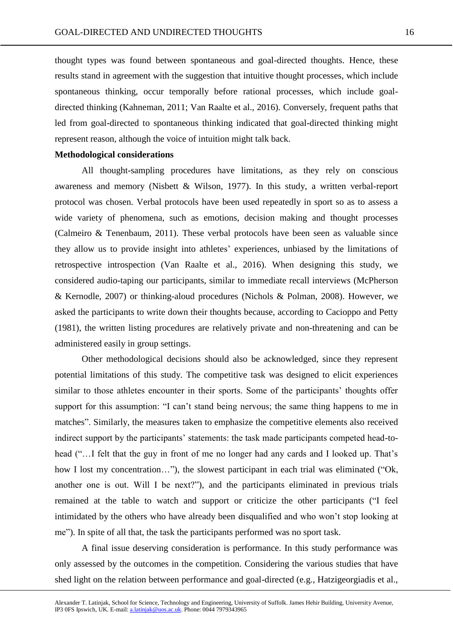thought types was found between spontaneous and goal-directed thoughts. Hence, these results stand in agreement with the suggestion that intuitive thought processes, which include spontaneous thinking, occur temporally before rational processes, which include goaldirected thinking (Kahneman, 2011; Van Raalte et al., 2016). Conversely, frequent paths that led from goal-directed to spontaneous thinking indicated that goal-directed thinking might represent reason, although the voice of intuition might talk back.

# **Methodological considerations**

All thought-sampling procedures have limitations, as they rely on conscious awareness and memory (Nisbett & Wilson, 1977). In this study, a written verbal-report protocol was chosen. Verbal protocols have been used repeatedly in sport so as to assess a wide variety of phenomena, such as emotions, decision making and thought processes (Calmeiro & Tenenbaum, 2011). These verbal protocols have been seen as valuable since they allow us to provide insight into athletes' experiences, unbiased by the limitations of retrospective introspection (Van Raalte et al., 2016). When designing this study, we considered audio-taping our participants, similar to immediate recall interviews (McPherson & Kernodle, 2007) or thinking-aloud procedures (Nichols & Polman, 2008). However, we asked the participants to write down their thoughts because, according to Cacioppo and Petty (1981), the written listing procedures are relatively private and non-threatening and can be administered easily in group settings.

Other methodological decisions should also be acknowledged, since they represent potential limitations of this study. The competitive task was designed to elicit experiences similar to those athletes encounter in their sports. Some of the participants' thoughts offer support for this assumption: "I can't stand being nervous; the same thing happens to me in matches". Similarly, the measures taken to emphasize the competitive elements also received indirect support by the participants' statements: the task made participants competed head-tohead ("…I felt that the guy in front of me no longer had any cards and I looked up. That's how I lost my concentration…"), the slowest participant in each trial was eliminated ("Ok, another one is out. Will I be next?"), and the participants eliminated in previous trials remained at the table to watch and support or criticize the other participants ("I feel intimidated by the others who have already been disqualified and who won't stop looking at me"). In spite of all that, the task the participants performed was no sport task.

A final issue deserving consideration is performance. In this study performance was only assessed by the outcomes in the competition. Considering the various studies that have shed light on the relation between performance and goal-directed (e.g., Hatzigeorgiadis et al.,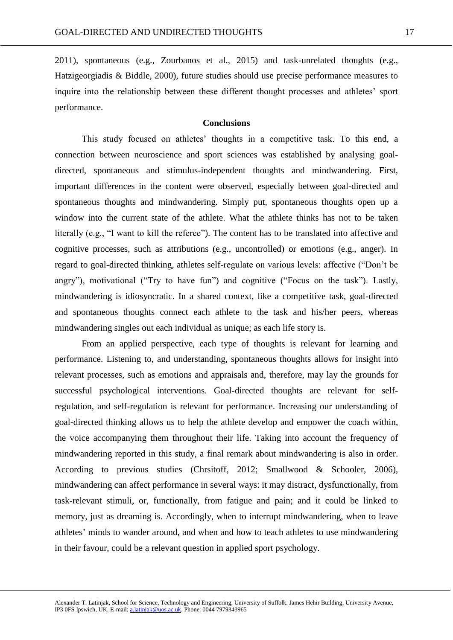2011), spontaneous (e.g., Zourbanos et al., 2015) and task-unrelated thoughts (e.g., Hatzigeorgiadis & Biddle, 2000), future studies should use precise performance measures to inquire into the relationship between these different thought processes and athletes' sport performance.

# **Conclusions**

This study focused on athletes' thoughts in a competitive task. To this end, a connection between neuroscience and sport sciences was established by analysing goaldirected, spontaneous and stimulus-independent thoughts and mindwandering. First, important differences in the content were observed, especially between goal-directed and spontaneous thoughts and mindwandering. Simply put, spontaneous thoughts open up a window into the current state of the athlete. What the athlete thinks has not to be taken literally (e.g., "I want to kill the referee"). The content has to be translated into affective and cognitive processes, such as attributions (e.g., uncontrolled) or emotions (e.g., anger). In regard to goal-directed thinking, athletes self-regulate on various levels: affective ("Don't be angry"), motivational ("Try to have fun") and cognitive ("Focus on the task"). Lastly, mindwandering is idiosyncratic. In a shared context, like a competitive task, goal-directed and spontaneous thoughts connect each athlete to the task and his/her peers, whereas mindwandering singles out each individual as unique; as each life story is.

From an applied perspective, each type of thoughts is relevant for learning and performance. Listening to, and understanding, spontaneous thoughts allows for insight into relevant processes, such as emotions and appraisals and, therefore, may lay the grounds for successful psychological interventions. Goal-directed thoughts are relevant for selfregulation, and self-regulation is relevant for performance. Increasing our understanding of goal-directed thinking allows us to help the athlete develop and empower the coach within, the voice accompanying them throughout their life. Taking into account the frequency of mindwandering reported in this study, a final remark about mindwandering is also in order. According to previous studies (Chrsitoff, 2012; Smallwood & Schooler, 2006), mindwandering can affect performance in several ways: it may distract, dysfunctionally, from task-relevant stimuli, or, functionally, from fatigue and pain; and it could be linked to memory, just as dreaming is. Accordingly, when to interrupt mindwandering, when to leave athletes' minds to wander around, and when and how to teach athletes to use mindwandering in their favour, could be a relevant question in applied sport psychology.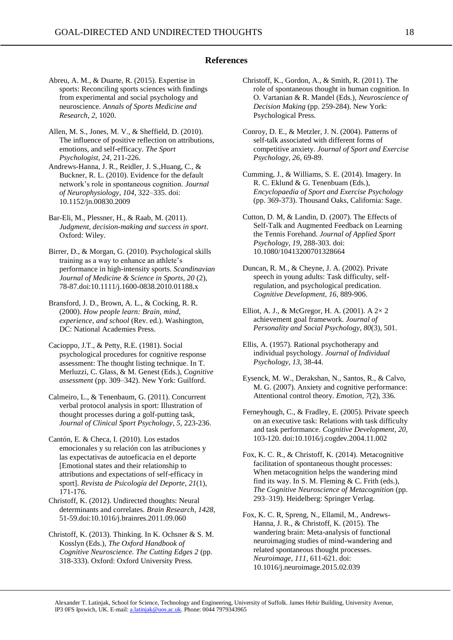#### **References**

- Abreu, A. M., & Duarte, R. (2015). Expertise in sports: Reconciling sports sciences with findings from experimental and social psychology and neuroscience. *Annals of Sports Medicine and Research*, *2*, 1020.
- Allen, M. S., Jones, M. V., & Sheffield, D. (2010). The influence of positive reflection on attributions, emotions, and self-efficacy. *The Sport Psychologist*, *24*, 211-226.
- Andrews-Hanna, J. R., Reidler, J. S.,Huang, C., & Buckner, R. L. (2010). Evidence for the default network's role in spontaneous cognition. *Journal of Neurophysiology*, *104*, 322–335. doi: 10.1152/jn.00830.2009
- Bar-Eli, M., Plessner, H., & Raab, M. (2011). *Judgment, decision-making and success in sport*. Oxford: Wiley.
- Birrer, D., & Morgan, G. (2010). Psychological skills training as a way to enhance an athlete's performance in high-intensity sports. *Scandinavian Journal of Medicine & Science in Sports*, *20* (2), 78-87.doi:10.1111/j.1600-0838.2010.01188.x
- Bransford, J. D., Brown, A. L., & Cocking, R. R. (2000). *How people learn: Brain, mind, experience, and school* (Rev. ed.). Washington, DC: National Academies Press.
- Cacioppo, J.T., & Petty, R.E. (1981). Social psychological procedures for cognitive response assessment: The thought listing technique. In T. Merluzzi, C. Glass, & M. Genest (Eds.), *Cognitive assessment* (pp. 309–342). New York: Guilford.
- Calmeiro, L., & Tenenbaum, G. (2011). Concurrent verbal protocol analysis in sport: Illustration of thought processes during a golf-putting task, *Journal of Clinical Sport Psychology*, *5*, 223-236.
- Cantón, E. & Checa, I. (2010). Los estados emocionales y su relación con las atribuciones y las expectativas de autoeficacia en el deporte [Emotional states and their relationship to attributions and expectations of self-efficacy in sport]. *Revista de Psicología del Deporte*, *21*(1), 171-176.
- Christoff, K. (2012). Undirected thoughts: Neural determinants and correlates. *Brain Research*, *1428*, 51-59.doi:10.1016/j.brainres.2011.09.060
- Christoff, K. (2013). Thinking. In K. Ochsner & S. M. Kosslyn (Eds.), *The Oxford Handbook of Cognitive Neuroscience. The Cutting Edges 2* (pp. 318-333). Oxford: Oxford University Press.
- Christoff, K., Gordon, A., & Smith, R. (2011). The role of spontaneous thought in human cognition. In O. Vartanian & R. Mandel (Eds.), *Neuroscience of Decision Making* (pp. 259-284). New York: Psychological Press.
- Conroy, D. E., & Metzler, J. N. (2004). Patterns of self-talk associated with different forms of competitive anxiety. *Journal of Sport and Exercise Psychology*, *26*, 69-89.
- Cumming, J., & Williams, S. E. (2014). Imagery. In R. C. Eklund & G. Tenenbuam (Eds.), *Encyclopaedia of Sport and Exercise Psychology* (pp. 369-373). Thousand Oaks, California: Sage.
- Cutton, D. M, & Landin, D. (2007). The Effects of Self-Talk and Augmented Feedback on Learning the Tennis Forehand. *Journal of Applied Sport Psychology*, *19*, 288-303. doi: 10.1080/10413200701328664
- Duncan, R. M., & Cheyne, J. A. (2002). Private speech in young adults: Task difficulty, selfregulation, and psychological predication. *Cognitive Development, 16*, 889-906.
- Elliot, A. J., & McGregor, H. A. (2001). A 2× 2 achievement goal framework. *Journal of Personality and Social Psychology*, *80*(3), 501.
- Ellis, A. (1957). Rational psychotherapy and individual psychology. *Journal of Individual Psychology*, *13*, 38-44.
- Eysenck, M. W., Derakshan, N., Santos, R., & Calvo, M. G. (2007). Anxiety and cognitive performance: Attentional control theory. *Emotion*, *7*(2), 336.
- Ferneyhough, C., & Fradley, E. (2005). Private speech on an executive task: Relations with task difficulty and task performance. *Cognitive Development*, *20*, 103-120. doi:10.1016/j.cogdev.2004.11.002
- Fox, K. C. R., & Christoff, K. (2014). Metacognitive facilitation of spontaneous thought processes: When metacognition helps the wandering mind find its way. In S. M. Fleming  $&C$ . Frith (eds.), *The Cognitive Neuroscience of Metacognition* (pp. 293–319). Heidelberg: Springer Verlag.
- Fox, K. C. R, Spreng, N., Ellamil, M., Andrews-Hanna, J. R., & Christoff, K. (2015). The wandering brain: Meta-analysis of functional neuroimaging studies of mind-wandering and related spontaneous thought processes. *Neuroimage*, *111*, 611-621. doi: 10.1016/j.neuroimage.2015.02.039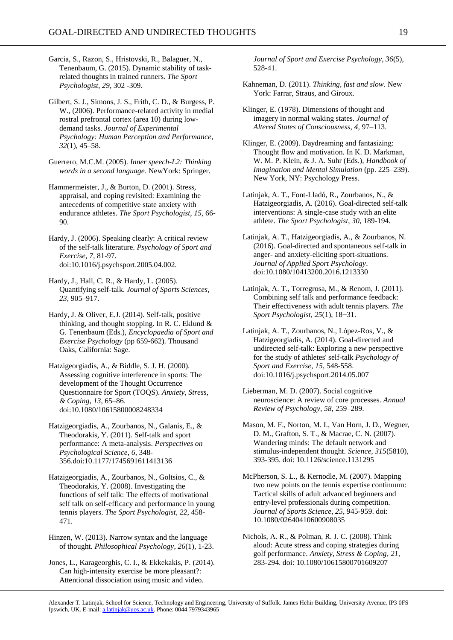Garcia, S., Razon, S., Hristovski, R., Balaguer, N., Tenenbaum, G. (2015). Dynamic stability of taskrelated thoughts in trained runners. *The Sport Psychologist*, *29*, 302 -309.

Gilbert, S. J., Simons, J. S., Frith, C. D., & Burgess, P. W., (2006). Performance-related activity in medial rostral prefrontal cortex (area 10) during lowdemand tasks. *Journal of Experimental Psychology: Human Perception and Performance*, *32*(1), 45–58.

Guerrero, M.C.M. (2005). *Inner speech-L2: Thinking words in a second language*. NewYork: Springer.

Hammermeister, J., & Burton, D. (2001). Stress, appraisal, and coping revisited: Examining the antecedents of competitive state anxiety with endurance athletes. *The Sport Psychologist*, *15*, 66- 90.

Hardy, J. (2006). Speaking clearly: A critical review of the self-talk literature. *Psychology of Sport and Exercise*, *7*, 81-97. doi:10.1016/j.psychsport.2005.04.002.

Hardy, J., Hall, C. R., & Hardy, L. (2005). Quantifying self-talk. *Journal of Sports Sciences*, *23*, 905–917.

Hardy, J. & Oliver, E.J. (2014). Self-talk, positive thinking, and thought stopping. In R. C. Eklund  $\&$ G. Tenenbaum (Eds.), *Encyclopaedia of Sport and Exercise Psychology* (pp 659-662)*.* Thousand Oaks, California: Sage.

Hatzigeorgiadis, A., & Biddle, S. J. H. (2000). Assessing cognitive interference in sports: The development of the Thought Occurrence Questionnaire for Sport (TOQS). *Anxiety, Stress, & Coping*, *13*, 65–86. doi:10.1080/10615800008248334

Hatzigeorgiadis, A., Zourbanos, N., Galanis, E., & Theodorakis, Y. (2011). Self-talk and sport performance: A meta-analysis. *Perspectives on Psychological Science*, *6*, 348- 356.doi:10.1177/1745691611413136

Hatzigeorgiadis, A., Zourbanos, N., Goltsios, C., & Theodorakis, Y. (2008). Investigating the functions of self talk: The effects of motivational self talk on self-efficacy and performance in young tennis players. *The Sport Psychologist*, *22*, 458- 471.

Hinzen, W. (2013). Narrow syntax and the language of thought. *Philosophical Psychology*, *26*(1), 1-23.

Jones, L., Karageorghis, C. I., & Ekkekakis, P. (2014). Can high-intensity exercise be more pleasant?: Attentional dissociation using music and video.

*Journal of Sport and Exercise Psychology*, *36*(5), 528-41.

- Kahneman, D. (2011). *Thinking, fast and slow*. New York: Farrar, Straus, and Giroux.
- Klinger, E. (1978). Dimensions of thought and imagery in normal waking states. *Journal of Altered States of Consciousness*, *4*, 97–113.

Klinger, E. (2009). Daydreaming and fantasizing: Thought flow and motivation. In K. D. Markman, W. M. P. Klein, & J. A. Suhr (Eds.), *Handbook of Imagination and Mental Simulation* (pp. 225–239). New York, NY: Psychology Press.

- Latinjak, A. T., Font-Lladó, R., Zourbanos, N., & Hatzigeorgiadis, A. (2016). Goal-directed self-talk interventions: A single-case study with an elite athlete. *The Sport Psychologist*, *30*, 189-194.
- Latinjak, A. T., Hatzigeorgiadis, A., & Zourbanos, N. (2016). Goal-directed and spontaneous self-talk in anger- and anxiety-eliciting sport-situations. *Journal of Applied Sport Psychology*. doi:10.1080/10413200.2016.1213330
- Latinjak, A. T., Torregrosa, M., & Renom, J. (2011). Combining self talk and performance feedback: Their effectiveness with adult tennis players. *The Sport Psychologist*, *25*(1), 18−31.
- Latinjak, A. T., Zourbanos, N., López-Ros, V., & Hatzigeorgiadis, A. (2014). Goal-directed and undirected self-talk: Exploring a new perspective for the study of athletes' self-talk *Psychology of Sport and Exercise*, *15*, 548-558. doi:10.1016/j.psychsport.2014.05.007
- Lieberman, M. D. (2007). Social cognitive neuroscience: A review of core processes. *Annual Review of Psychology*, *58*, 259–289.
- Mason, M. F., Norton, M. I., Van Horn, J. D., Wegner, D. M., Grafton, S. T., & Macrae, C. N. (2007). Wandering minds: The default network and stimulus-independent thought. *Science, 315*(5810), 393-395. doi: 10.1126/science.1131295

McPherson, S. L., & Kernodle, M. (2007). Mapping two new points on the tennis expertise continuum: Tactical skills of adult advanced beginners and entry-level professionals during competition. *Journal of Sports Science*, *25*, 945-959. doi: 10.1080/02640410600908035

Nichols, A. R., & Polman, R. J. C. (2008). Think aloud: Acute stress and coping strategies during golf performance. *Anxiety, Stress & Coping*, *21*, 283-294. doi: 10.1080/10615800701609207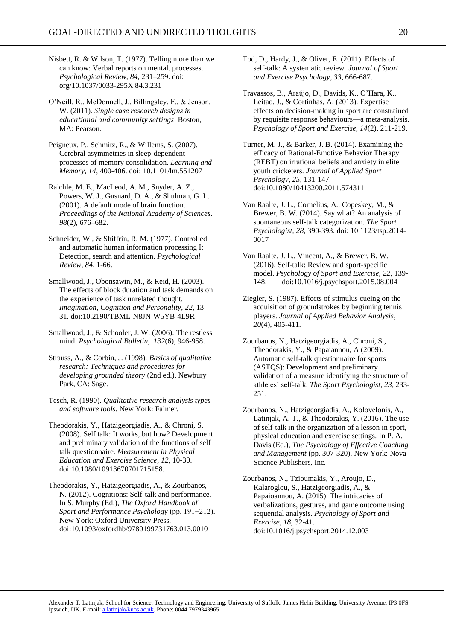Nisbett, R. & Wilson, T. (1977). Telling more than we can know: Verbal reports on mental. processes. *Psychological Review*, *84*, 231–259. doi: org/10.1037/0033-295X.84.3.231

O'Neill, R., McDonnell, J., Billingsley, F., & Jenson, W. (2011). *Single case research designs in educational and community settings*. Boston, MA: Pearson.

Peigneux, P., Schmitz, R., & Willems, S. (2007). Cerebral asymmetries in sleep-dependent processes of memory consolidation. *Learning and Memory*, *14*, 400-406. doi: 10.1101/lm.551207

Raichle, M. E., MacLeod, A. M., Snyder, A. Z., Powers, W. J., Gusnard, D. A., & Shulman, G. L. (2001). A default mode of brain function. *Proceedings of the National Academy of Sciences*. *98*(2), 676–682.

Schneider, W., & Shiffrin, R. M. (1977). Controlled and automatic human information processing I: Detection, search and attention. *Psychological Review*, *84*, 1-66.

Smallwood, J., Obonsawin, M., & Reid, H. (2003). The effects of block duration and task demands on the experience of task unrelated thought. *Imagination, Cognition and Personality*, *22*, 13– 31. doi:10.2190/TBML-N8JN-W5YB-4L9R

Smallwood, J., & Schooler, J. W. (2006). The restless mind. *Psychological Bulletin, 132*(6), 946-958.

Strauss, A., & Corbin, J. (1998). *Basics of qualitative research: Techniques and procedures for developing grounded theory* (2nd ed.). Newbury Park, CA: Sage.

Tesch, R. (1990). *Qualitative research analysis types and software tools.* New York: Falmer.

Theodorakis, Y., Hatzigeorgiadis, A., & Chroni, S. (2008). Self talk: It works, but how? Development and preliminary validation of the functions of self talk questionnaire. *Measurement in Physical Education and Exercise Science*, *12*, 10-30. doi:10.1080/10913670701715158.

Theodorakis, Y., Hatzigeorgiadis, A., & Zourbanos, N. (2012). Cognitions: Self-talk and performance. In S. Murphy (Ed.), *The Oxford Handbook of Sport and Performance Psychology* (pp. 191−212). New York: Oxford University Press. doi:10.1093/oxfordhb/9780199731763.013.0010

Tod, D., Hardy, J., & Oliver, E. (2011). Effects of self-talk: A systematic review. *Journal of Sport and Exercise Psychology*, *33*, 666-687.

Travassos, B., Araújo, D., Davids, K., O'Hara, K., Leitao, J., & Cortinhas, A. (2013). Expertise effects on decision-making in sport are constrained by requisite response behaviours—a meta-analysis. *Psychology of Sport and Exercise*, *14*(2), 211-219.

Turner, M. J., & Barker, J. B. (2014). Examining the efficacy of Rational-Emotive Behavior Therapy (REBT) on irrational beliefs and anxiety in elite youth cricketers. *Journal of Applied Sport Psychology*, *25*, 131-147. doi:10.1080/10413200.2011.574311

Van Raalte, J. L., Cornelius, A., Copeskey, M., & Brewer, B. W. (2014). Say what? An analysis of spontaneous self-talk categorization. *The Sport Psychologist*, *28*, 390-393. doi: 10.1123/tsp.2014- 0017

Van Raalte, J. L., Vincent, A., & Brewer, B. W. (2016). Self-talk: Review and sport-specific model. *Psychology of Sport and Exercise*, *22*, 139- 148. doi:10.1016/j.psychsport.2015.08.004

Ziegler, S. (1987). Effects of stimulus cueing on the acquisition of groundstrokes by beginning tennis players. *Journal of Applied Behavior Analysis*, *20*(4), 405-411.

Zourbanos, N., Hatzigeorgiadis, A., Chroni, S., Theodorakis, Y., & Papaiannou, A (2009). Automatic self-talk questionnaire for sports (ASTQS): Development and preliminary validation of a measure identifying the structure of athletes' self-talk. *The Sport Psychologist*, *23*, 233- 251.

Zourbanos, N., Hatzigeorgiadis, A., Kolovelonis, A., Latinjak, A. T., & Theodorakis, Y. (2016). The use of self-talk in the organization of a lesson in sport, physical education and exercise settings. In P. A. Davis (Ed.), *The Psychology of Effective Coaching and Management* (pp. 307-320). New York: Nova Science Publishers, Inc.

Zourbanos, N., Tzioumakis, Y., Aroujo, D., Kalaroglou, S., Hatzigeorgiadis, A., & Papaioannou, A. (2015). The intricacies of verbalizations, gestures, and game outcome using sequential analysis. *Psychology of Sport and Exercise*, *18*, 32-41. doi:10.1016/j.psychsport.2014.12.003